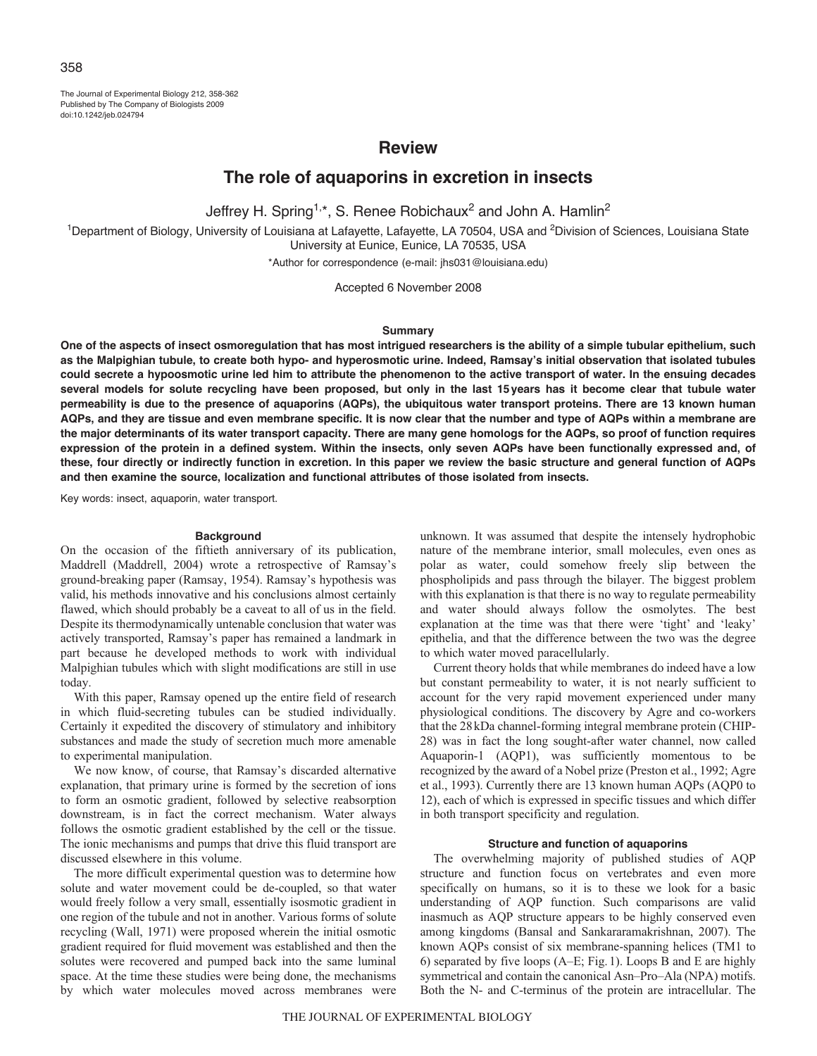The Journal of Experimental Biology 212, 358-362 Published by The Company of Biologists 2009 doi:10.1242/jeb.024794

## **Review**

# **The role of aquaporins in excretion in insects**

Jeffrey H. Spring<sup>1,\*</sup>, S. Renee Robichaux<sup>2</sup> and John A. Hamlin<sup>2</sup>

<sup>1</sup>Department of Biology, University of Louisiana at Lafayette, Lafayette, LA 70504, USA and <sup>2</sup>Division of Sciences, Louisiana State University at Eunice, Eunice, LA 70535, USA

\*Author for correspondence (e-mail: jhs031@louisiana.edu)

Accepted 6 November 2008

## **Summary**

**One of the aspects of insect osmoregulation that has most intrigued researchers is the ability of a simple tubular epithelium, such as the Malpighian tubule, to create both hypo- and hyperosmotic urine. Indeed, Ramsay's initial observation that isolated tubules could secrete a hypoosmotic urine led him to attribute the phenomenon to the active transport of water. In the ensuing decades several models for solute recycling have been proposed, but only in the last 15years has it become clear that tubule water permeability is due to the presence of aquaporins (AQPs), the ubiquitous water transport proteins. There are 13 known human AQPs, and they are tissue and even membrane specific. It is now clear that the number and type of AQPs within a membrane are the major determinants of its water transport capacity. There are many gene homologs for the AQPs, so proof of function requires expression of the protein in a defined system. Within the insects, only seven AQPs have been functionally expressed and, of these, four directly or indirectly function in excretion. In this paper we review the basic structure and general function of AQPs and then examine the source, localization and functional attributes of those isolated from insects.**

Key words: insect, aquaporin, water transport.

## **Background**

On the occasion of the fiftieth anniversary of its publication, Maddrell (Maddrell, 2004) wrote a retrospective of Ramsay's ground-breaking paper (Ramsay, 1954). Ramsay's hypothesis was valid, his methods innovative and his conclusions almost certainly flawed, which should probably be a caveat to all of us in the field. Despite its thermodynamically untenable conclusion that water was actively transported, Ramsay's paper has remained a landmark in part because he developed methods to work with individual Malpighian tubules which with slight modifications are still in use today.

With this paper, Ramsay opened up the entire field of research in which fluid-secreting tubules can be studied individually. Certainly it expedited the discovery of stimulatory and inhibitory substances and made the study of secretion much more amenable to experimental manipulation.

We now know, of course, that Ramsay's discarded alternative explanation, that primary urine is formed by the secretion of ions to form an osmotic gradient, followed by selective reabsorption downstream, is in fact the correct mechanism. Water always follows the osmotic gradient established by the cell or the tissue. The ionic mechanisms and pumps that drive this fluid transport are discussed elsewhere in this volume.

The more difficult experimental question was to determine how solute and water movement could be de-coupled, so that water would freely follow a very small, essentially isosmotic gradient in one region of the tubule and not in another. Various forms of solute recycling (Wall, 1971) were proposed wherein the initial osmotic gradient required for fluid movement was established and then the solutes were recovered and pumped back into the same luminal space. At the time these studies were being done, the mechanisms by which water molecules moved across membranes were unknown. It was assumed that despite the intensely hydrophobic nature of the membrane interior, small molecules, even ones as polar as water, could somehow freely slip between the phospholipids and pass through the bilayer. The biggest problem with this explanation is that there is no way to regulate permeability and water should always follow the osmolytes. The best explanation at the time was that there were 'tight' and 'leaky' epithelia, and that the difference between the two was the degree to which water moved paracellularly.

Current theory holds that while membranes do indeed have a low but constant permeability to water, it is not nearly sufficient to account for the very rapid movement experienced under many physiological conditions. The discovery by Agre and co-workers that the 28kDa channel-forming integral membrane protein (CHIP-28) was in fact the long sought-after water channel, now called Aquaporin-1 (AQP1), was sufficiently momentous to be recognized by the award of a Nobel prize (Preston et al., 1992; Agre et al., 1993). Currently there are 13 known human AQPs (AQP0 to 12), each of which is expressed in specific tissues and which differ in both transport specificity and regulation.

#### **Structure and function of aquaporins**

The overwhelming majority of published studies of AQP structure and function focus on vertebrates and even more specifically on humans, so it is to these we look for a basic understanding of AQP function. Such comparisons are valid inasmuch as AQP structure appears to be highly conserved even among kingdoms (Bansal and Sankararamakrishnan, 2007). The known AQPs consist of six membrane-spanning helices (TM1 to 6) separated by five loops (A–E; Fig.1). Loops B and E are highly symmetrical and contain the canonical Asn–Pro–Ala (NPA) motifs. Both the N- and C-terminus of the protein are intracellular. The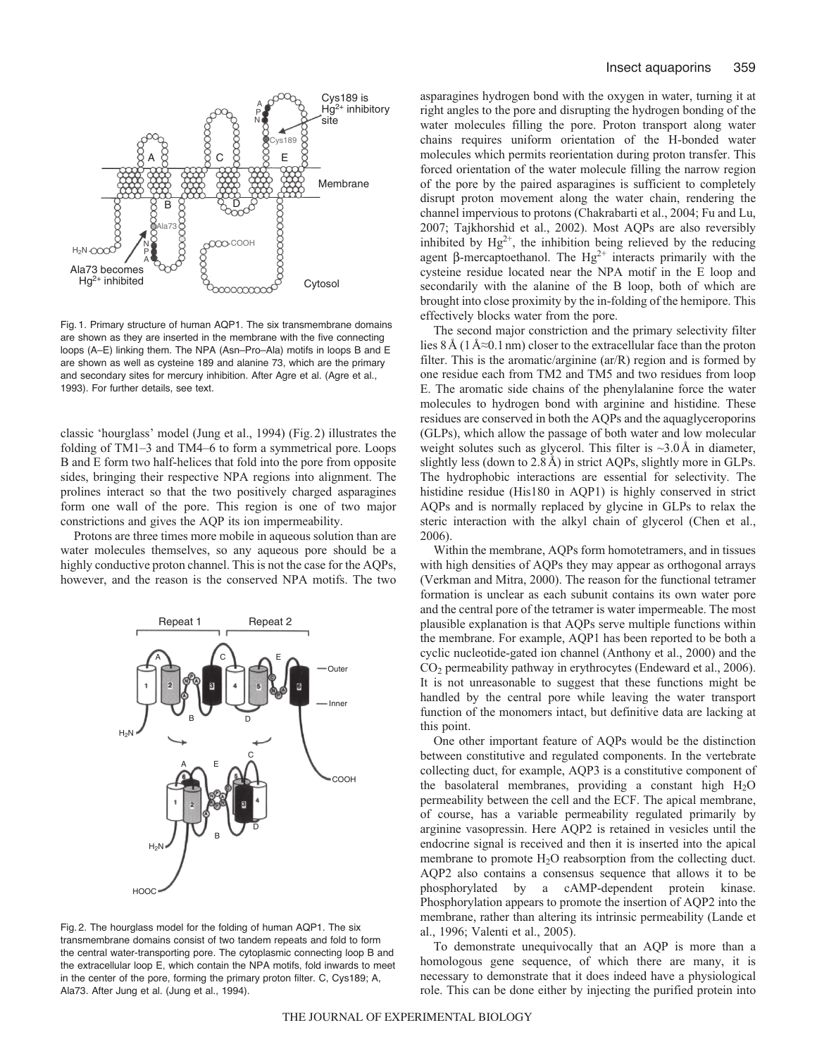

Fig. 1. Primary structure of human AQP1. The six transmembrane domains are shown as they are inserted in the membrane with the five connecting loops (A–E) linking them. The NPA (Asn–Pro–Ala) motifs in loops B and E are shown as well as cysteine 189 and alanine 73, which are the primary and secondary sites for mercury inhibition. After Agre et al. (Agre et al., 1993). For further details, see text.

classic 'hourglass' model (Jung et al., 1994) (Fig.2) illustrates the folding of TM1–3 and TM4–6 to form a symmetrical pore. Loops B and E form two half-helices that fold into the pore from opposite sides, bringing their respective NPA regions into alignment. The prolines interact so that the two positively charged asparagines form one wall of the pore. This region is one of two major constrictions and gives the AQP its ion impermeability.

Protons are three times more mobile in aqueous solution than are water molecules themselves, so any aqueous pore should be a highly conductive proton channel. This is not the case for the AQPs, however, and the reason is the conserved NPA motifs. The two



Fig. 2. The hourglass model for the folding of human AQP1. The six transmembrane domains consist of two tandem repeats and fold to form the central water-transporting pore. The cytoplasmic connecting loop B and the extracellular loop E, which contain the NPA motifs, fold inwards to meet in the center of the pore, forming the primary proton filter. C, Cys189; A, Ala73. After Jung et al. (Jung et al., 1994).

asparagines hydrogen bond with the oxygen in water, turning it at right angles to the pore and disrupting the hydrogen bonding of the water molecules filling the pore. Proton transport along water chains requires uniform orientation of the H-bonded water molecules which permits reorientation during proton transfer. This forced orientation of the water molecule filling the narrow region of the pore by the paired asparagines is sufficient to completely disrupt proton movement along the water chain, rendering the channel impervious to protons (Chakrabarti et al., 2004; Fu and Lu, 2007; Tajkhorshid et al., 2002). Most AQPs are also reversibly inhibited by  $Hg^{2+}$ , the inhibition being relieved by the reducing agent β-mercaptoethanol. The  $Hg^{2+}$  interacts primarily with the cysteine residue located near the NPA motif in the E loop and secondarily with the alanine of the B loop, both of which are brought into close proximity by the in-folding of the hemipore. This effectively blocks water from the pore.

The second major constriction and the primary selectivity filter lies 8Å (1Å≈0.1nm) closer to the extracellular face than the proton filter. This is the aromatic/arginine (ar/R) region and is formed by one residue each from TM2 and TM5 and two residues from loop E. The aromatic side chains of the phenylalanine force the water molecules to hydrogen bond with arginine and histidine. These residues are conserved in both the AQPs and the aquaglyceroporins (GLPs), which allow the passage of both water and low molecular weight solutes such as glycerol. This filter is  $\sim$ 3.0Å in diameter, slightly less (down to 2.8Å) in strict AQPs, slightly more in GLPs. The hydrophobic interactions are essential for selectivity. The histidine residue (His180 in AQP1) is highly conserved in strict AQPs and is normally replaced by glycine in GLPs to relax the steric interaction with the alkyl chain of glycerol (Chen et al., 2006).

Within the membrane, AQPs form homotetramers, and in tissues with high densities of AQPs they may appear as orthogonal arrays (Verkman and Mitra, 2000). The reason for the functional tetramer formation is unclear as each subunit contains its own water pore and the central pore of the tetramer is water impermeable. The most plausible explanation is that AQPs serve multiple functions within the membrane. For example, AQP1 has been reported to be both a cyclic nucleotide-gated ion channel (Anthony et al., 2000) and the CO2 permeability pathway in erythrocytes (Endeward et al., 2006). It is not unreasonable to suggest that these functions might be handled by the central pore while leaving the water transport function of the monomers intact, but definitive data are lacking at this point.

One other important feature of AQPs would be the distinction between constitutive and regulated components. In the vertebrate collecting duct, for example, AQP3 is a constitutive component of the basolateral membranes, providing a constant high  $H_2O$ permeability between the cell and the ECF. The apical membrane, of course, has a variable permeability regulated primarily by arginine vasopressin. Here AQP2 is retained in vesicles until the endocrine signal is received and then it is inserted into the apical membrane to promote  $H_2O$  reabsorption from the collecting duct. AQP2 also contains a consensus sequence that allows it to be phosphorylated by a cAMP-dependent protein kinase. Phosphorylation appears to promote the insertion of AQP2 into the membrane, rather than altering its intrinsic permeability (Lande et al., 1996; Valenti et al., 2005).

To demonstrate unequivocally that an AQP is more than a homologous gene sequence, of which there are many, it is necessary to demonstrate that it does indeed have a physiological role. This can be done either by injecting the purified protein into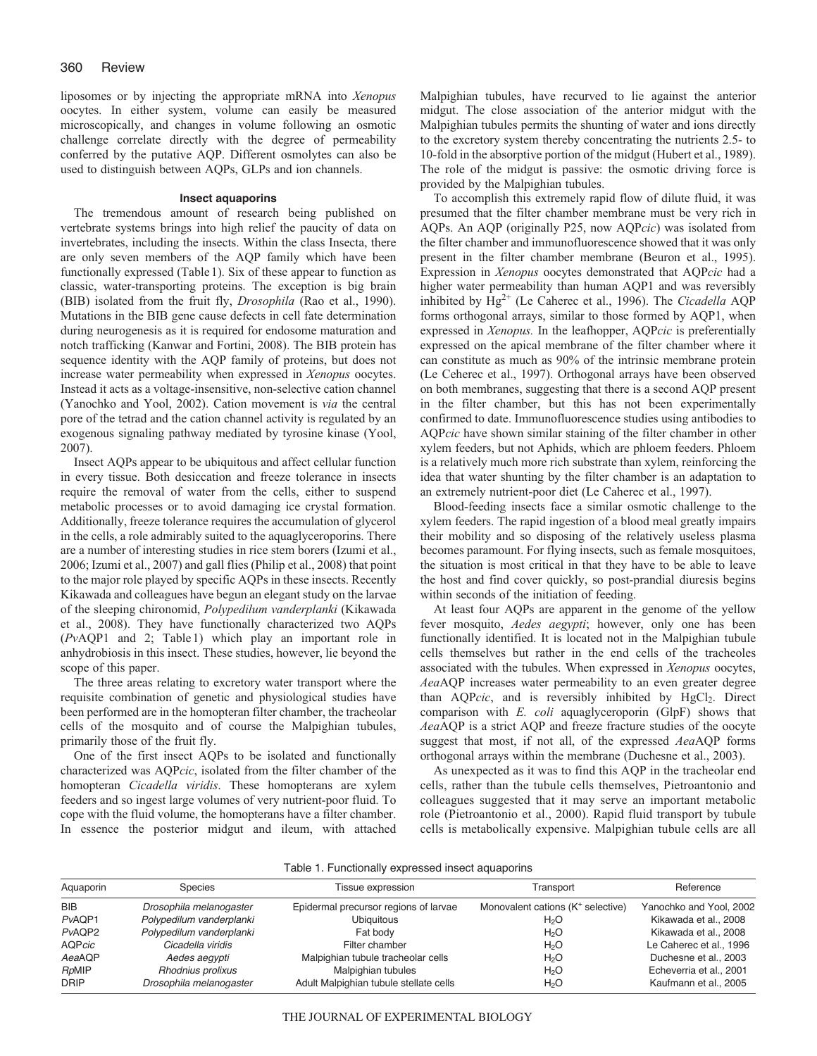liposomes or by injecting the appropriate mRNA into *Xenopus* oocytes. In either system, volume can easily be measured microscopically, and changes in volume following an osmotic challenge correlate directly with the degree of permeability conferred by the putative AQP. Different osmolytes can also be used to distinguish between AQPs, GLPs and ion channels.

#### **Insect aquaporins**

The tremendous amount of research being published on vertebrate systems brings into high relief the paucity of data on invertebrates, including the insects. Within the class Insecta, there are only seven members of the AQP family which have been functionally expressed (Table1). Six of these appear to function as classic, water-transporting proteins. The exception is big brain (BIB) isolated from the fruit fly, *Drosophila* (Rao et al., 1990). Mutations in the BIB gene cause defects in cell fate determination during neurogenesis as it is required for endosome maturation and notch trafficking (Kanwar and Fortini, 2008). The BIB protein has sequence identity with the AQP family of proteins, but does not increase water permeability when expressed in *Xenopus* oocytes. Instead it acts as a voltage-insensitive, non-selective cation channel (Yanochko and Yool, 2002). Cation movement is *via* the central pore of the tetrad and the cation channel activity is regulated by an exogenous signaling pathway mediated by tyrosine kinase (Yool, 2007).

Insect AQPs appear to be ubiquitous and affect cellular function in every tissue. Both desiccation and freeze tolerance in insects require the removal of water from the cells, either to suspend metabolic processes or to avoid damaging ice crystal formation. Additionally, freeze tolerance requires the accumulation of glycerol in the cells, a role admirably suited to the aquaglyceroporins. There are a number of interesting studies in rice stem borers (Izumi et al., 2006; Izumi et al., 2007) and gall flies (Philip et al., 2008) that point to the major role played by specific AQPs in these insects. Recently Kikawada and colleagues have begun an elegant study on the larvae of the sleeping chironomid, *Polypedilum vanderplanki* (Kikawada et al., 2008). They have functionally characterized two AQPs (*Pv*AQP1 and 2; Table1) which play an important role in anhydrobiosis in this insect. These studies, however, lie beyond the scope of this paper.

The three areas relating to excretory water transport where the requisite combination of genetic and physiological studies have been performed are in the homopteran filter chamber, the tracheolar cells of the mosquito and of course the Malpighian tubules, primarily those of the fruit fly.

One of the first insect AQPs to be isolated and functionally characterized was AQP*cic*, isolated from the filter chamber of the homopteran *Cicadella viridis*. These homopterans are xylem feeders and so ingest large volumes of very nutrient-poor fluid. To cope with the fluid volume, the homopterans have a filter chamber. In essence the posterior midgut and ileum, with attached Malpighian tubules, have recurved to lie against the anterior midgut. The close association of the anterior midgut with the Malpighian tubules permits the shunting of water and ions directly to the excretory system thereby concentrating the nutrients 2.5- to 10-fold in the absorptive portion of the midgut (Hubert et al., 1989). The role of the midgut is passive: the osmotic driving force is provided by the Malpighian tubules.

To accomplish this extremely rapid flow of dilute fluid, it was presumed that the filter chamber membrane must be very rich in AQPs. An AQP (originally P25, now AQP*cic*) was isolated from the filter chamber and immunofluorescence showed that it was only present in the filter chamber membrane (Beuron et al., 1995). Expression in *Xenopus* oocytes demonstrated that AQP*cic* had a higher water permeability than human AQP1 and was reversibly inhibited by Hg<sup>2+</sup> (Le Caherec et al., 1996). The *Cicadella* AQP forms orthogonal arrays, similar to those formed by AQP1, when expressed in *Xenopus.* In the leafhopper, AQP*cic* is preferentially expressed on the apical membrane of the filter chamber where it can constitute as much as 90% of the intrinsic membrane protein (Le Ceherec et al., 1997). Orthogonal arrays have been observed on both membranes, suggesting that there is a second AQP present in the filter chamber, but this has not been experimentally confirmed to date. Immunofluorescence studies using antibodies to AQP*cic* have shown similar staining of the filter chamber in other xylem feeders, but not Aphids, which are phloem feeders. Phloem is a relatively much more rich substrate than xylem, reinforcing the idea that water shunting by the filter chamber is an adaptation to an extremely nutrient-poor diet (Le Caherec et al., 1997).

Blood-feeding insects face a similar osmotic challenge to the xylem feeders. The rapid ingestion of a blood meal greatly impairs their mobility and so disposing of the relatively useless plasma becomes paramount. For flying insects, such as female mosquitoes, the situation is most critical in that they have to be able to leave the host and find cover quickly, so post-prandial diuresis begins within seconds of the initiation of feeding.

At least four AQPs are apparent in the genome of the yellow fever mosquito, *Aedes aegypti*; however, only one has been functionally identified. It is located not in the Malpighian tubule cells themselves but rather in the end cells of the tracheoles associated with the tubules. When expressed in *Xenopus* oocytes, *Aea*AQP increases water permeability to an even greater degree than AQPcic, and is reversibly inhibited by HgCl<sub>2</sub>. Direct comparison with *E. coli* aquaglyceroporin (GlpF) shows that *Aea*AQP is a strict AQP and freeze fracture studies of the oocyte suggest that most, if not all, of the expressed *Aea*AQP forms orthogonal arrays within the membrane (Duchesne et al., 2003).

As unexpected as it was to find this AQP in the tracheolar end cells, rather than the tubule cells themselves, Pietroantonio and colleagues suggested that it may serve an important metabolic role (Pietroantonio et al., 2000). Rapid fluid transport by tubule cells is metabolically expensive. Malpighian tubule cells are all

| Table 1. Functionally expressed insect aquaporins |  |  |
|---------------------------------------------------|--|--|
|                                                   |  |  |
|                                                   |  |  |
|                                                   |  |  |

| Aquaporin   | <b>Species</b>           | Tissue expression                      | Transport                                     | Reference               |
|-------------|--------------------------|----------------------------------------|-----------------------------------------------|-------------------------|
| <b>BIB</b>  | Drosophila melanogaster  | Epidermal precursor regions of larvae  | Monovalent cations (K <sup>+</sup> selective) | Yanochko and Yool, 2002 |
| PvAQP1      | Polypedilum vanderplanki | <b>Ubiquitous</b>                      | H <sub>2</sub> O                              | Kikawada et al., 2008   |
| PvAQP2      | Polypedilum vanderplanki | Fat body                               | H <sub>2</sub> O                              | Kikawada et al., 2008   |
| AQPcic      | Cicadella viridis        | Filter chamber                         | H <sub>2</sub> O                              | Le Caherec et al., 1996 |
| AeaAQP      | Aedes aegypti            | Malpighian tubule tracheolar cells     | H <sub>2</sub> O                              | Duchesne et al., 2003   |
| RpMIP       | Rhodnius prolixus        | Malpighian tubules                     | H <sub>2</sub> O                              | Echeverria et al., 2001 |
| <b>DRIP</b> | Drosophila melanogaster  | Adult Malpighian tubule stellate cells | H <sub>2</sub> O                              | Kaufmann et al., 2005   |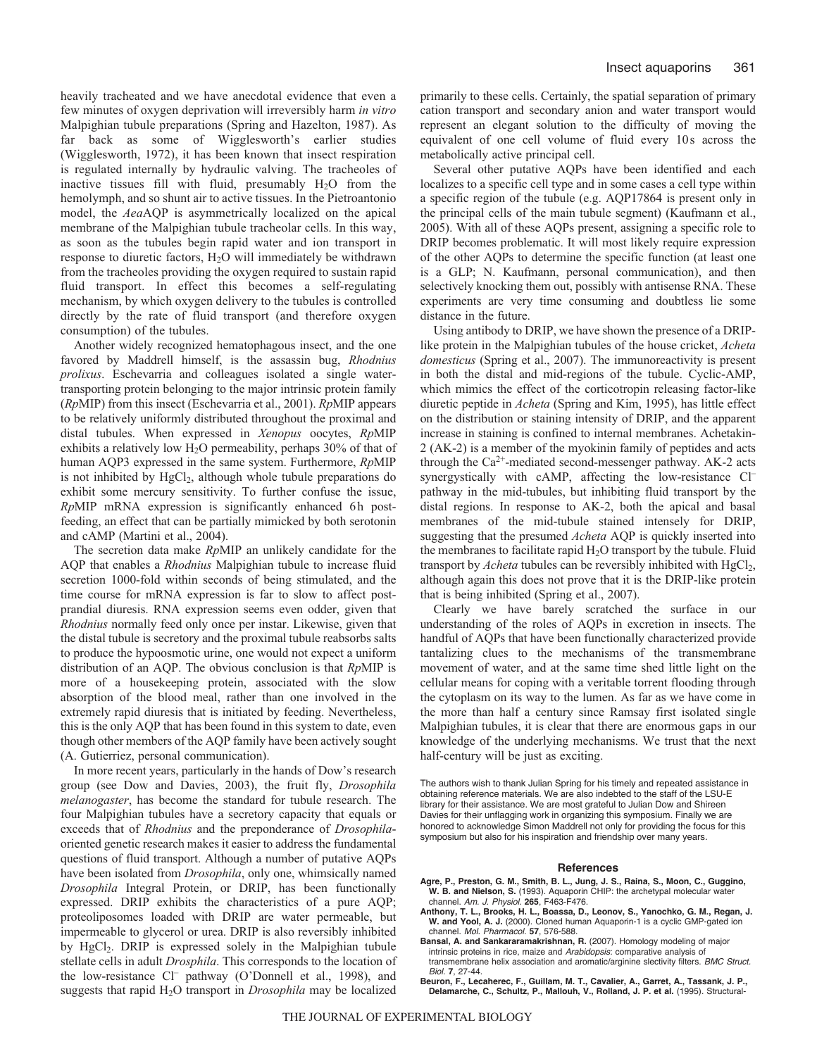heavily tracheated and we have anecdotal evidence that even a few minutes of oxygen deprivation will irreversibly harm *in vitro* Malpighian tubule preparations (Spring and Hazelton, 1987). As far back as some of Wigglesworth's earlier studies (Wigglesworth, 1972), it has been known that insect respiration is regulated internally by hydraulic valving. The tracheoles of inactive tissues fill with fluid, presumably  $H_2O$  from the hemolymph, and so shunt air to active tissues. In the Pietroantonio model, the *Aea*AQP is asymmetrically localized on the apical membrane of the Malpighian tubule tracheolar cells. In this way, as soon as the tubules begin rapid water and ion transport in response to diuretic factors, H2O will immediately be withdrawn from the tracheoles providing the oxygen required to sustain rapid fluid transport. In effect this becomes a self-regulating mechanism, by which oxygen delivery to the tubules is controlled directly by the rate of fluid transport (and therefore oxygen consumption) of the tubules.

Another widely recognized hematophagous insect, and the one favored by Maddrell himself, is the assassin bug, *Rhodnius prolixus*. Eschevarria and colleagues isolated a single watertransporting protein belonging to the major intrinsic protein family (*Rp*MIP) from this insect (Eschevarria et al., 2001). *Rp*MIP appears to be relatively uniformly distributed throughout the proximal and distal tubules. When expressed in *Xenopus* oocytes, *Rp*MIP exhibits a relatively low H<sub>2</sub>O permeability, perhaps 30% of that of human AQP3 expressed in the same system. Furthermore, *Rp*MIP is not inhibited by HgCl<sub>2</sub>, although whole tubule preparations do exhibit some mercury sensitivity. To further confuse the issue, *Rp*MIP mRNA expression is significantly enhanced 6h postfeeding, an effect that can be partially mimicked by both serotonin and cAMP (Martini et al., 2004).

The secretion data make *Rp*MIP an unlikely candidate for the AQP that enables a *Rhodnius* Malpighian tubule to increase fluid secretion 1000-fold within seconds of being stimulated, and the time course for mRNA expression is far to slow to affect postprandial diuresis. RNA expression seems even odder, given that *Rhodnius* normally feed only once per instar. Likewise, given that the distal tubule is secretory and the proximal tubule reabsorbs salts to produce the hypoosmotic urine, one would not expect a uniform distribution of an AQP. The obvious conclusion is that *Rp*MIP is more of a housekeeping protein, associated with the slow absorption of the blood meal, rather than one involved in the extremely rapid diuresis that is initiated by feeding. Nevertheless, this is the only AQP that has been found in this system to date, even though other members of the AQP family have been actively sought (A. Gutierriez, personal communication).

In more recent years, particularly in the hands of Dow's research group (see Dow and Davies, 2003), the fruit fly, *Drosophila melanogaster*, has become the standard for tubule research. The four Malpighian tubules have a secretory capacity that equals or exceeds that of *Rhodnius* and the preponderance of *Drosophila*oriented genetic research makes it easier to address the fundamental questions of fluid transport. Although a number of putative AQPs have been isolated from *Drosophila*, only one, whimsically named *Drosophila* Integral Protein, or DRIP, has been functionally expressed. DRIP exhibits the characteristics of a pure AQP; proteoliposomes loaded with DRIP are water permeable, but impermeable to glycerol or urea. DRIP is also reversibly inhibited by HgCl<sub>2</sub>. DRIP is expressed solely in the Malpighian tubule stellate cells in adult *Drosphila*. This corresponds to the location of the low-resistance Cl<sup>-</sup> pathway (O'Donnell et al., 1998), and suggests that rapid H2O transport in *Drosophila* may be localized

primarily to these cells. Certainly, the spatial separation of primary cation transport and secondary anion and water transport would represent an elegant solution to the difficulty of moving the equivalent of one cell volume of fluid every 10s across the metabolically active principal cell.

Several other putative AQPs have been identified and each localizes to a specific cell type and in some cases a cell type within a specific region of the tubule (e.g. AQP17864 is present only in the principal cells of the main tubule segment) (Kaufmann et al., 2005). With all of these AQPs present, assigning a specific role to DRIP becomes problematic. It will most likely require expression of the other AQPs to determine the specific function (at least one is a GLP; N. Kaufmann, personal communication), and then selectively knocking them out, possibly with antisense RNA. These experiments are very time consuming and doubtless lie some distance in the future.

Using antibody to DRIP, we have shown the presence of a DRIPlike protein in the Malpighian tubules of the house cricket, *Acheta domesticus* (Spring et al., 2007). The immunoreactivity is present in both the distal and mid-regions of the tubule. Cyclic-AMP, which mimics the effect of the corticotropin releasing factor-like diuretic peptide in *Acheta* (Spring and Kim, 1995), has little effect on the distribution or staining intensity of DRIP, and the apparent increase in staining is confined to internal membranes. Achetakin-2 (AK-2) is a member of the myokinin family of peptides and acts through the  $Ca^{2+}$ -mediated second-messenger pathway. AK-2 acts synergystically with cAMP, affecting the low-resistance Cl– pathway in the mid-tubules, but inhibiting fluid transport by the distal regions. In response to AK-2, both the apical and basal membranes of the mid-tubule stained intensely for DRIP, suggesting that the presumed *Acheta* AQP is quickly inserted into the membranes to facilitate rapid  $H_2O$  transport by the tubule. Fluid transport by *Acheta* tubules can be reversibly inhibited with HgCl<sub>2</sub>, although again this does not prove that it is the DRIP-like protein that is being inhibited (Spring et al., 2007).

Clearly we have barely scratched the surface in our understanding of the roles of AQPs in excretion in insects. The handful of AQPs that have been functionally characterized provide tantalizing clues to the mechanisms of the transmembrane movement of water, and at the same time shed little light on the cellular means for coping with a veritable torrent flooding through the cytoplasm on its way to the lumen. As far as we have come in the more than half a century since Ramsay first isolated single Malpighian tubules, it is clear that there are enormous gaps in our knowledge of the underlying mechanisms. We trust that the next half-century will be just as exciting.

The authors wish to thank Julian Spring for his timely and repeated assistance in obtaining reference materials. We are also indebted to the staff of the LSU-E library for their assistance. We are most grateful to Julian Dow and Shireen Davies for their unflagging work in organizing this symposium. Finally we are honored to acknowledge Simon Maddrell not only for providing the focus for this symposium but also for his inspiration and friendship over many years.

#### **References**

- **Agre, P., Preston, G. M., Smith, B. L., Jung, J. S., Raina, S., Moon, C., Guggino, W. B. and Nielson, S.** (1993). Aquaporin CHIP: the archetypal molecular water channel. Am. J. Physiol. **265**, F463-F476.
- **Anthony, T. L., Brooks, H. L., Boassa, D., Leonov, S., Yanochko, G. M., Regan, J. W. and Yool, A. J.** (2000). Cloned human Aquaporin-1 is a cyclic GMP-gated ion channel. Mol. Pharmacol. **57**, 576-588.
- **Bansal, A. and Sankararamakrishnan, R.** (2007). Homology modeling of major intrinsic proteins in rice, maize and Arabidopsis: comparative analysis of transmembrane helix association and aromatic/arginine slectivity filters. BMC Struct. Biol. **7**, 27-44.
- **Beuron, F., Lecaherec, F., Guillam, M. T., Cavalier, A., Garret, A., Tassank, J. P., Delamarche, C., Schultz, P., Mallouh, V., Rolland, J. P. et al.** (1995). Structural-